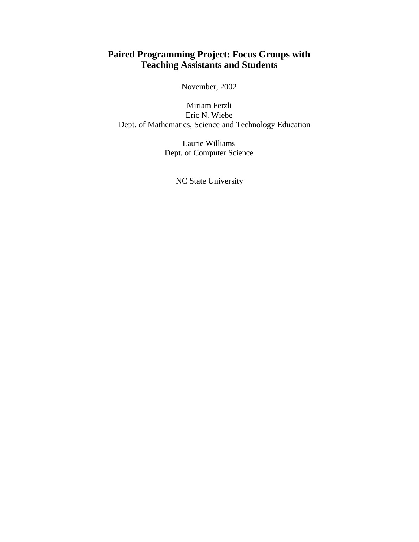# **Paired Programming Project: Focus Groups with Teaching Assistants and Students**

November, 2002

Miriam Ferzli Eric N. Wiebe Dept. of Mathematics, Science and Technology Education

> Laurie Williams Dept. of Computer Science

> > NC State University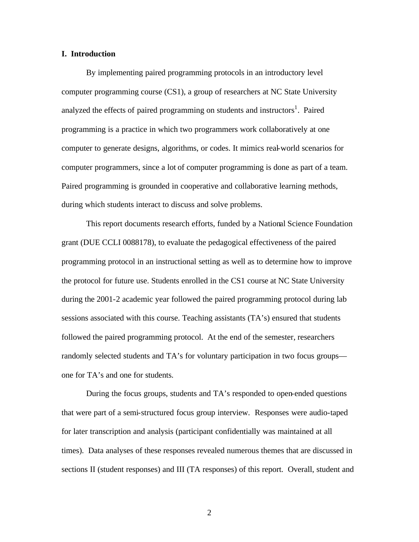#### **I. Introduction**

By implementing paired programming protocols in an introductory level computer programming course (CS1), a group of researchers at NC State University analyzed the effects of paired programming on students and instructors<sup>1</sup>. Paired programming is a practice in which two programmers work collaboratively at one computer to generate designs, algorithms, or codes. It mimics real-world scenarios for computer programmers, since a lot of computer programming is done as part of a team. Paired programming is grounded in cooperative and collaborative learning methods, during which students interact to discuss and solve problems.

This report documents research efforts, funded by a National Science Foundation grant (DUE CCLI 0088178), to evaluate the pedagogical effectiveness of the paired programming protocol in an instructional setting as well as to determine how to improve the protocol for future use. Students enrolled in the CS1 course at NC State University during the 2001-2 academic year followed the paired programming protocol during lab sessions associated with this course. Teaching assistants (TA's) ensured that students followed the paired programming protocol. At the end of the semester, researchers randomly selected students and TA's for voluntary participation in two focus groups one for TA's and one for students.

During the focus groups, students and TA's responded to open-ended questions that were part of a semi-structured focus group interview. Responses were audio-taped for later transcription and analysis (participant confidentially was maintained at all times). Data analyses of these responses revealed numerous themes that are discussed in sections II (student responses) and III (TA responses) of this report. Overall, student and

2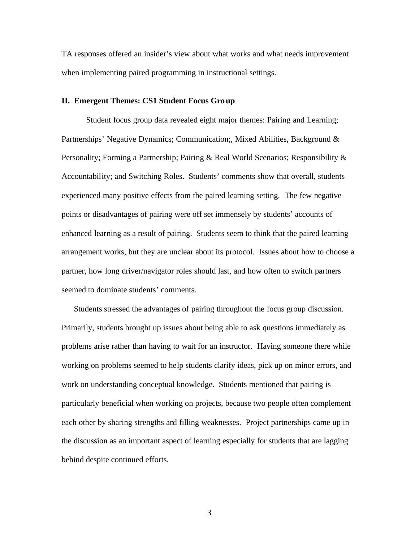TA responses offered an insider's view about what works and what needs improvement when implementing paired programming in instructional settings.

#### **II. Emergent Themes: CS1 Student Focus Group**

Student focus group data revealed eight major themes: Pairing and Learning; Partnerships' Negative Dynamics; Communication;, Mixed Abilities, Background & Personality; Forming a Partnership; Pairing & Real World Scenarios; Responsibility & Accountability; and Switching Roles. Students' comments show that overall, students experienced many positive effects from the paired learning setting. The few negative points or disadvantages of pairing were off set immensely by students' accounts of enhanced learning as a result of pairing. Students seem to think that the paired learning arrangement works, but they are unclear about its protocol. Issues about how to choose a partner, how long driver/navigator roles should last, and how often to switch partners seemed to dominate students' comments.

Students stressed the advantages of pairing throughout the focus group discussion. Primarily, students brought up issues about being able to ask questions immediately as problems arise rather than having to wait for an instructor. Having someone there while working on problems seemed to help students clarify ideas, pick up on minor errors, and work on understanding conceptual knowledge. Students mentioned that pairing is particularly beneficial when working on projects, because two people often complement each other by sharing strengths and filling weaknesses. Project partnerships came up in the discussion as an important aspect of learning especially for students that are lagging behind despite continued efforts.

3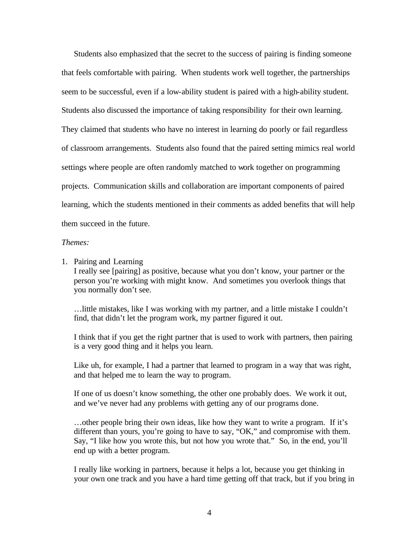Students also emphasized that the secret to the success of pairing is finding someone that feels comfortable with pairing. When students work well together, the partnerships seem to be successful, even if a low-ability student is paired with a high-ability student. Students also discussed the importance of taking responsibility for their own learning. They claimed that students who have no interest in learning do poorly or fail regardless of classroom arrangements. Students also found that the paired setting mimics real world settings where people are often randomly matched to work together on programming projects. Communication skills and collaboration are important components of paired learning, which the students mentioned in their comments as added benefits that will help them succeed in the future.

#### *Themes:*

1. Pairing and Learning

I really see [pairing] as positive, because what you don't know, your partner or the person you're working with might know. And sometimes you overlook things that you normally don't see.

…little mistakes, like I was working with my partner, and a little mistake I couldn't find, that didn't let the program work, my partner figured it out.

I think that if you get the right partner that is used to work with partners, then pairing is a very good thing and it helps you learn.

Like uh, for example, I had a partner that learned to program in a way that was right, and that helped me to learn the way to program.

If one of us doesn't know something, the other one probably does. We work it out, and we've never had any problems with getting any of our programs done.

…other people bring their own ideas, like how they want to write a program. If it's different than yours, you're going to have to say, "OK," and compromise with them. Say, "I like how you wrote this, but not how you wrote that." So, in the end, you'll end up with a better program.

I really like working in partners, because it helps a lot, because you get thinking in your own one track and you have a hard time getting off that track, but if you bring in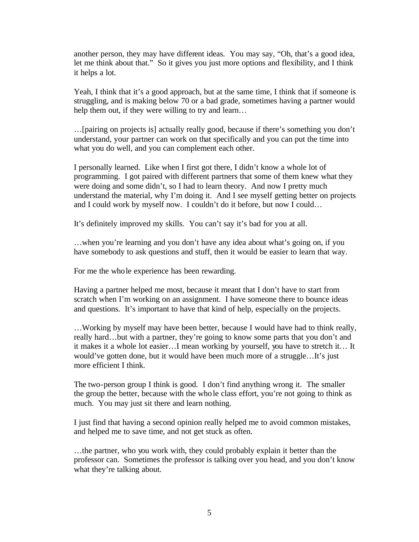another person, they may have different ideas. You may say, "Oh, that's a good idea, let me think about that." So it gives you just more options and flexibility, and I think it helps a lot.

Yeah, I think that it's a good approach, but at the same time, I think that if someone is struggling, and is making below 70 or a bad grade, sometimes having a partner would help them out, if they were willing to try and learn...

…[pairing on projects is] actually really good, because if there's something you don't understand, your partner can work on that specifically and you can put the time into what you do well, and you can complement each other.

I personally learned. Like when I first got there, I didn't know a whole lot of programming. I got paired with different partners that some of them knew what they were doing and some didn't, so I had to learn theory. And now I pretty much understand the material, why I'm doing it. And I see myself getting better on projects and I could work by myself now. I couldn't do it before, but now I could…

It's definitely improved my skills. You can't say it's bad for you at all.

…when you're learning and you don't have any idea about what's going on, if you have somebody to ask questions and stuff, then it would be easier to learn that way.

For me the whole experience has been rewarding.

Having a partner helped me most, because it meant that I don't have to start from scratch when I'm working on an assignment. I have someone there to bounce ideas and questions. It's important to have that kind of help, especially on the projects.

…Working by myself may have been better, because I would have had to think really, really hard…but with a partner, they're going to know some parts that you don't and it makes it a whole lot easier…I mean working by yourself, you have to stretch it… It would've gotten done, but it would have been much more of a struggle…It's just more efficient I think.

The two-person group I think is good. I don't find anything wrong it. The smaller the group the better, because with the whole class effort, you're not going to think as much. You may just sit there and learn nothing.

I just find that having a second opinion really helped me to avoid common mistakes, and helped me to save time, and not get stuck as often.

…the partner, who you work with, they could probably explain it better than the professor can. Sometimes the professor is talking over you head, and you don't know what they're talking about.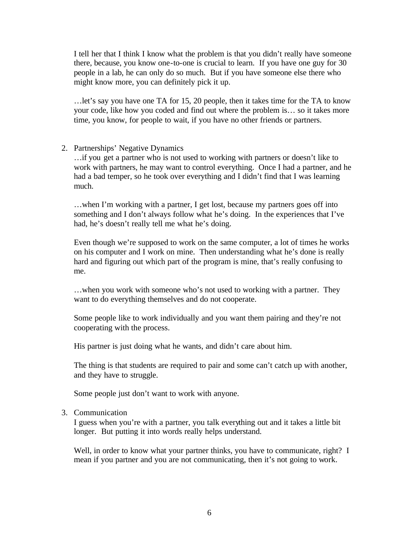I tell her that I think I know what the problem is that you didn't really have someone there, because, you know one-to-one is crucial to learn. If you have one guy for 30 people in a lab, he can only do so much. But if you have someone else there who might know more, you can definitely pick it up.

…let's say you have one TA for 15, 20 people, then it takes time for the TA to know your code, like how you coded and find out where the problem is… so it takes more time, you know, for people to wait, if you have no other friends or partners.

2. Partnerships' Negative Dynamics

…if you get a partner who is not used to working with partners or doesn't like to work with partners, he may want to control everything. Once I had a partner, and he had a bad temper, so he took over everything and I didn't find that I was learning much.

…when I'm working with a partner, I get lost, because my partners goes off into something and I don't always follow what he's doing. In the experiences that I've had, he's doesn't really tell me what he's doing.

Even though we're supposed to work on the same computer, a lot of times he works on his computer and I work on mine. Then understanding what he's done is really hard and figuring out which part of the program is mine, that's really confusing to me.

…when you work with someone who's not used to working with a partner. They want to do everything themselves and do not cooperate.

Some people like to work individually and you want them pairing and they're not cooperating with the process.

His partner is just doing what he wants, and didn't care about him.

The thing is that students are required to pair and some can't catch up with another, and they have to struggle.

Some people just don't want to work with anyone.

3. Communication

I guess when you're with a partner, you talk everything out and it takes a little bit longer. But putting it into words really helps understand.

Well, in order to know what your partner thinks, you have to communicate, right? I mean if you partner and you are not communicating, then it's not going to work.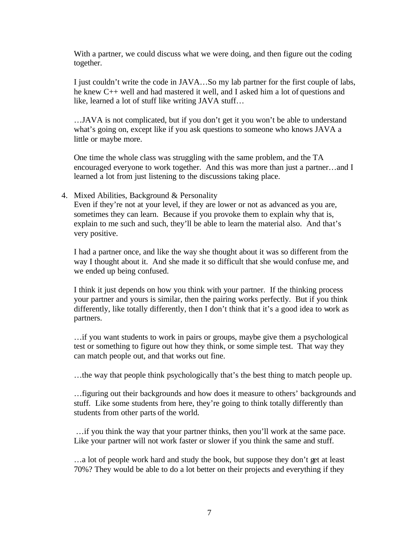With a partner, we could discuss what we were doing, and then figure out the coding together.

I just couldn't write the code in JAVA…So my lab partner for the first couple of labs, he knew C++ well and had mastered it well, and I asked him a lot of questions and like, learned a lot of stuff like writing JAVA stuff…

…JAVA is not complicated, but if you don't get it you won't be able to understand what's going on, except like if you ask questions to someone who knows JAVA a little or maybe more.

One time the whole class was struggling with the same problem, and the TA encouraged everyone to work together. And this was more than just a partner…and I learned a lot from just listening to the discussions taking place.

4. Mixed Abilities, Background & Personality

Even if they're not at your level, if they are lower or not as advanced as you are, sometimes they can learn. Because if you provoke them to explain why that is, explain to me such and such, they'll be able to learn the material also. And that's very positive.

I had a partner once, and like the way she thought about it was so different from the way I thought about it. And she made it so difficult that she would confuse me, and we ended up being confused.

I think it just depends on how you think with your partner. If the thinking process your partner and yours is similar, then the pairing works perfectly. But if you think differently, like totally differently, then I don't think that it's a good idea to work as partners.

…if you want students to work in pairs or groups, maybe give them a psychological test or something to figure out how they think, or some simple test. That way they can match people out, and that works out fine.

…the way that people think psychologically that's the best thing to match people up.

…figuring out their backgrounds and how does it measure to others' backgrounds and stuff. Like some students from here, they're going to think totally differently than students from other parts of the world.

…if you think the way that your partner thinks, then you'll work at the same pace. Like your partner will not work faster or slower if you think the same and stuff.

…a lot of people work hard and study the book, but suppose they don't get at least 70%? They would be able to do a lot better on their projects and everything if they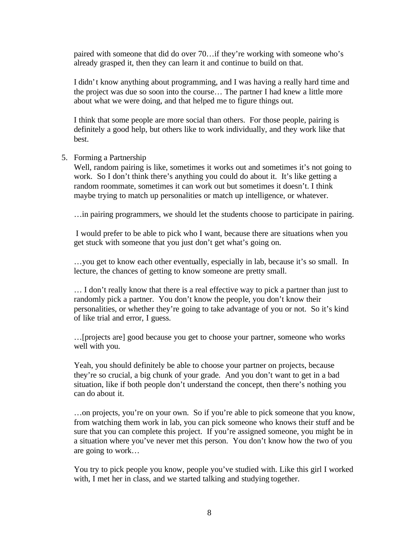paired with someone that did do over 70…if they're working with someone who's already grasped it, then they can learn it and continue to build on that.

I didn't know anything about programming, and I was having a really hard time and the project was due so soon into the course… The partner I had knew a little more about what we were doing, and that helped me to figure things out.

I think that some people are more social than others. For those people, pairing is definitely a good help, but others like to work individually, and they work like that best.

#### 5. Forming a Partnership

Well, random pairing is like, sometimes it works out and sometimes it's not going to work. So I don't think there's anything you could do about it. It's like getting a random roommate, sometimes it can work out but sometimes it doesn't. I think maybe trying to match up personalities or match up intelligence, or whatever.

…in pairing programmers, we should let the students choose to participate in pairing.

I would prefer to be able to pick who I want, because there are situations when you get stuck with someone that you just don't get what's going on.

…you get to know each other eventually, especially in lab, because it's so small. In lecture, the chances of getting to know someone are pretty small.

… I don't really know that there is a real effective way to pick a partner than just to randomly pick a partner. You don't know the people, you don't know their personalities, or whether they're going to take advantage of you or not. So it's kind of like trial and error, I guess.

…[projects are] good because you get to choose your partner, someone who works well with you.

Yeah, you should definitely be able to choose your partner on projects, because they're so crucial, a big chunk of your grade. And you don't want to get in a bad situation, like if both people don't understand the concept, then there's nothing you can do about it.

…on projects, you're on your own. So if you're able to pick someone that you know, from watching them work in lab, you can pick someone who knows their stuff and be sure that you can complete this project. If you're assigned someone, you might be in a situation where you've never met this person. You don't know how the two of you are going to work…

You try to pick people you know, people you've studied with. Like this girl I worked with, I met her in class, and we started talking and studying together.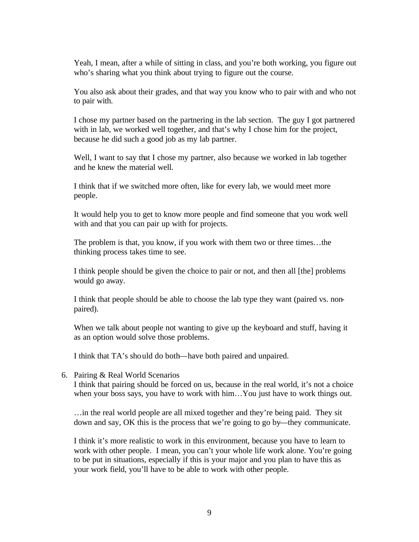Yeah, I mean, after a while of sitting in class, and you're both working, you figure out who's sharing what you think about trying to figure out the course.

You also ask about their grades, and that way you know who to pair with and who not to pair with.

I chose my partner based on the partnering in the lab section. The guy I got partnered with in lab, we worked well together, and that's why I chose him for the project, because he did such a good job as my lab partner.

Well, I want to say that I chose my partner, also because we worked in lab together and he knew the material well.

I think that if we switched more often, like for every lab, we would meet more people.

It would help you to get to know more people and find someone that you work well with and that you can pair up with for projects.

The problem is that, you know, if you work with them two or three times…the thinking process takes time to see.

I think people should be given the choice to pair or not, and then all [the] problems would go away.

I think that people should be able to choose the lab type they want (paired vs. nonpaired).

When we talk about people not wanting to give up the keyboard and stuff, having it as an option would solve those problems.

I think that TA's should do both—have both paired and unpaired.

6. Pairing & Real World Scenarios

I think that pairing should be forced on us, because in the real world, it's not a choice when your boss says, you have to work with him…You just have to work things out.

…in the real world people are all mixed together and they're being paid. They sit down and say, OK this is the process that we're going to go by—they communicate.

I think it's more realistic to work in this environment, because you have to learn to work with other people. I mean, you can't your whole life work alone. You're going to be put in situations, especially if this is your major and you plan to have this as your work field, you'll have to be able to work with other people.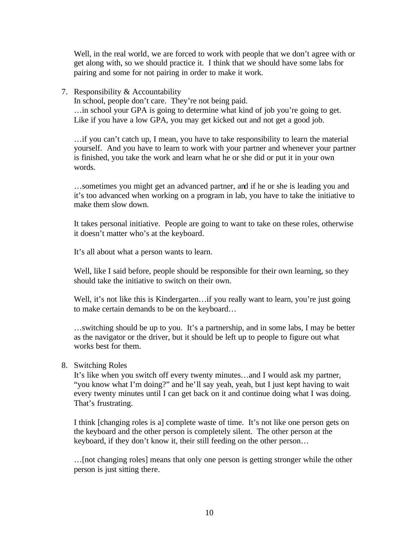Well, in the real world, we are forced to work with people that we don't agree with or get along with, so we should practice it. I think that we should have some labs for pairing and some for not pairing in order to make it work.

7. Responsibility & Accountability

In school, people don't care. They're not being paid. …in school your GPA is going to determine what kind of job you're going to get. Like if you have a low GPA, you may get kicked out and not get a good job.

…if you can't catch up, I mean, you have to take responsibility to learn the material yourself. And you have to learn to work with your partner and whenever your partner is finished, you take the work and learn what he or she did or put it in your own words.

…sometimes you might get an advanced partner, and if he or she is leading you and it's too advanced when working on a program in lab, you have to take the initiative to make them slow down.

It takes personal initiative. People are going to want to take on these roles, otherwise it doesn't matter who's at the keyboard.

It's all about what a person wants to learn.

Well, like I said before, people should be responsible for their own learning, so they should take the initiative to switch on their own.

Well, it's not like this is Kindergarten...if you really want to learn, you're just going to make certain demands to be on the keyboard…

…switching should be up to you. It's a partnership, and in some labs, I may be better as the navigator or the driver, but it should be left up to people to figure out what works best for them.

8. Switching Roles

It's like when you switch off every twenty minutes…and I would ask my partner, "you know what I'm doing?" and he'll say yeah, yeah, but I just kept having to wait every twenty minutes until I can get back on it and continue doing what I was doing. That's frustrating.

I think [changing roles is a] complete waste of time. It's not like one person gets on the keyboard and the other person is completely silent. The other person at the keyboard, if they don't know it, their still feeding on the other person…

…[not changing roles] means that only one person is getting stronger while the other person is just sitting there.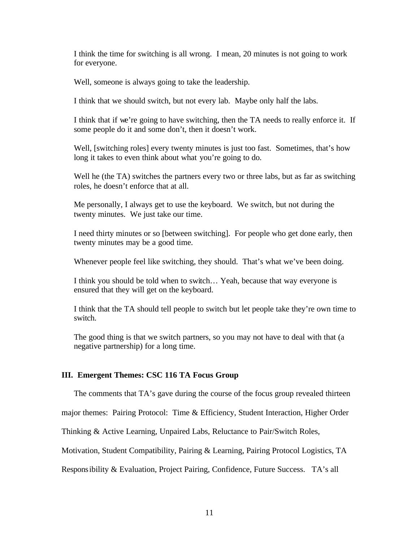I think the time for switching is all wrong. I mean, 20 minutes is not going to work for everyone.

Well, someone is always going to take the leadership.

I think that we should switch, but not every lab. Maybe only half the labs.

I think that if we're going to have switching, then the TA needs to really enforce it. If some people do it and some don't, then it doesn't work.

Well, [switching roles] every twenty minutes is just too fast. Sometimes, that's how long it takes to even think about what you're going to do.

Well he (the TA) switches the partners every two or three labs, but as far as switching roles, he doesn't enforce that at all.

Me personally, I always get to use the keyboard. We switch, but not during the twenty minutes. We just take our time.

I need thirty minutes or so [between switching]. For people who get done early, then twenty minutes may be a good time.

Whenever people feel like switching, they should. That's what we've been doing.

I think you should be told when to switch… Yeah, because that way everyone is ensured that they will get on the keyboard.

I think that the TA should tell people to switch but let people take they're own time to switch.

The good thing is that we switch partners, so you may not have to deal with that (a negative partnership) for a long time.

## **III. Emergent Themes: CSC 116 TA Focus Group**

The comments that TA's gave during the course of the focus group revealed thirteen

major themes: Pairing Protocol: Time & Efficiency, Student Interaction, Higher Order

Thinking & Active Learning, Unpaired Labs, Reluctance to Pair/Switch Roles,

Motivation, Student Compatibility, Pairing & Learning, Pairing Protocol Logistics, TA

Responsibility & Evaluation, Project Pairing, Confidence, Future Success. TA's all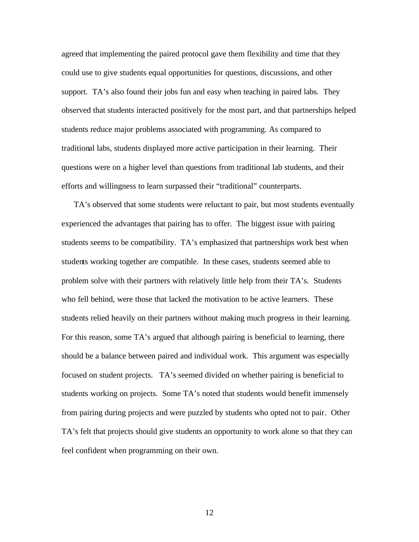agreed that implementing the paired protocol gave them flexibility and time that they could use to give students equal opportunities for questions, discussions, and other support. TA's also found their jobs fun and easy when teaching in paired labs. They observed that students interacted positively for the most part, and that partnerships helped students reduce major problems associated with programming. As compared to traditional labs, students displayed more active participation in their learning. Their questions were on a higher level than questions from traditional lab students, and their efforts and willingness to learn surpassed their "traditional" counterparts.

TA's observed that some students were reluctant to pair, but most students eventually experienced the advantages that pairing has to offer. The biggest issue with pairing students seems to be compatibility. TA's emphasized that partnerships work best when students working together are compatible. In these cases, students seemed able to problem solve with their partners with relatively little help from their TA's. Students who fell behind, were those that lacked the motivation to be active learners. These students relied heavily on their partners without making much progress in their learning. For this reason, some TA's argued that although pairing is beneficial to learning, there should be a balance between paired and individual work. This argument was especially focused on student projects. TA's seemed divided on whether pairing is beneficial to students working on projects. Some TA's noted that students would benefit immensely from pairing during projects and were puzzled by students who opted not to pair. Other TA's felt that projects should give students an opportunity to work alone so that they can feel confident when programming on their own.

12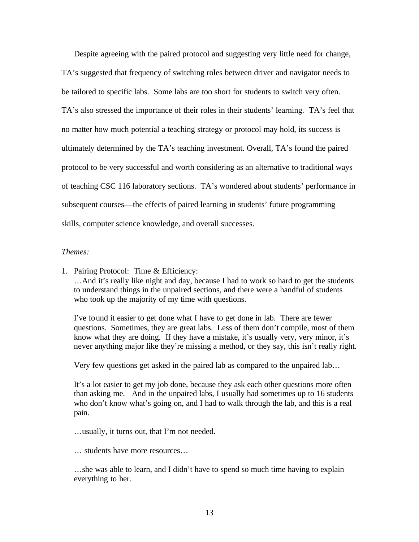Despite agreeing with the paired protocol and suggesting very little need for change, TA's suggested that frequency of switching roles between driver and navigator needs to be tailored to specific labs. Some labs are too short for students to switch very often. TA's also stressed the importance of their roles in their students' learning. TA's feel that no matter how much potential a teaching strategy or protocol may hold, its success is ultimately determined by the TA's teaching investment. Overall, TA's found the paired protocol to be very successful and worth considering as an alternative to traditional ways of teaching CSC 116 laboratory sections. TA's wondered about students' performance in subsequent courses—the effects of paired learning in students' future programming skills, computer science knowledge, and overall successes.

#### *Themes:*

1. Pairing Protocol: Time & Efficiency: …And it's really like night and day, because I had to work so hard to get the students to understand things in the unpaired sections, and there were a handful of students who took up the majority of my time with questions.

I've found it easier to get done what I have to get done in lab. There are fewer questions. Sometimes, they are great labs. Less of them don't compile, most of them know what they are doing. If they have a mistake, it's usually very, very minor, it's never anything major like they're missing a method, or they say, this isn't really right.

Very few questions get asked in the paired lab as compared to the unpaired lab…

It's a lot easier to get my job done, because they ask each other questions more often than asking me. And in the unpaired labs, I usually had sometimes up to 16 students who don't know what's going on, and I had to walk through the lab, and this is a real pain.

…usually, it turns out, that I'm not needed.

… students have more resources…

…she was able to learn, and I didn't have to spend so much time having to explain everything to her.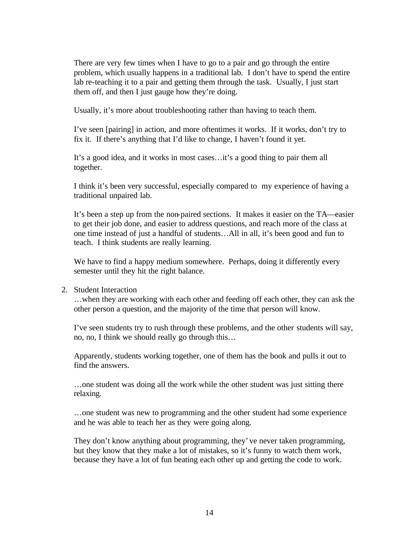There are very few times when I have to go to a pair and go through the entire problem, which usually happens in a traditional lab. I don't have to spend the entire lab re-teaching it to a pair and getting them through the task. Usually, I just start them off, and then I just gauge how they're doing.

Usually, it's more about troubleshooting rather than having to teach them.

I've seen [pairing] in action, and more oftentimes it works. If it works, don't try to fix it. If there's anything that I'd like to change, I haven't found it yet.

It's a good idea, and it works in most cases…it's a good thing to pair them all together.

I think it's been very successful, especially compared to my experience of having a traditional unpaired lab.

It's been a step up from the non-paired sections. It makes it easier on the TA—easier to get their job done, and easier to address questions, and reach more of the class at one time instead of just a handful of students…All in all, it's been good and fun to teach. I think students are really learning.

We have to find a happy medium somewhere. Perhaps, doing it differently every semester until they hit the right balance.

## 2. Student Interaction

…when they are working with each other and feeding off each other, they can ask the other person a question, and the majority of the time that person will know.

I've seen students try to rush through these problems, and the other students will say, no, no, I think we should really go through this…

Apparently, students working together, one of them has the book and pulls it out to find the answers.

…one student was doing all the work while the other student was just sitting there relaxing.

…one student was new to programming and the other student had some experience and he was able to teach her as they were going along.

They don't know anything about programming, they've never taken programming, but they know that they make a lot of mistakes, so it's funny to watch them work, because they have a lot of fun beating each other up and getting the code to work.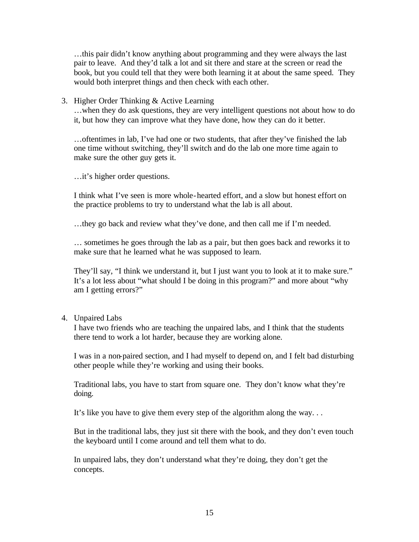…this pair didn't know anything about programming and they were always the last pair to leave. And they'd talk a lot and sit there and stare at the screen or read the book, but you could tell that they were both learning it at about the same speed. They would both interpret things and then check with each other.

3. Higher Order Thinking & Active Learning

…when they do ask questions, they are very intelligent questions not about how to do it, but how they can improve what they have done, how they can do it better.

…oftentimes in lab, I've had one or two students, that after they've finished the lab one time without switching, they'll switch and do the lab one more time again to make sure the other guy gets it.

…it's higher order questions.

I think what I've seen is more whole-hearted effort, and a slow but honest effort on the practice problems to try to understand what the lab is all about.

…they go back and review what they've done, and then call me if I'm needed.

… sometimes he goes through the lab as a pair, but then goes back and reworks it to make sure that he learned what he was supposed to learn.

They'll say, "I think we understand it, but I just want you to look at it to make sure." It's a lot less about "what should I be doing in this program?" and more about "why am I getting errors?"

4. Unpaired Labs

I have two friends who are teaching the unpaired labs, and I think that the students there tend to work a lot harder, because they are working alone.

I was in a non-paired section, and I had myself to depend on, and I felt bad disturbing other people while they're working and using their books.

Traditional labs, you have to start from square one. They don't know what they're doing.

It's like you have to give them every step of the algorithm along the way. . .

But in the traditional labs, they just sit there with the book, and they don't even touch the keyboard until I come around and tell them what to do.

In unpaired labs, they don't understand what they're doing, they don't get the concepts.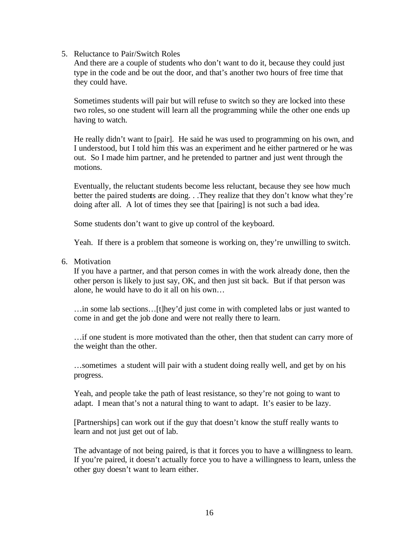#### 5. Reluctance to Pair/Switch Roles

And there are a couple of students who don't want to do it, because they could just type in the code and be out the door, and that's another two hours of free time that they could have.

Sometimes students will pair but will refuse to switch so they are locked into these two roles, so one student will learn all the programming while the other one ends up having to watch.

He really didn't want to [pair]. He said he was used to programming on his own, and I understood, but I told him this was an experiment and he either partnered or he was out. So I made him partner, and he pretended to partner and just went through the motions.

Eventually, the reluctant students become less reluctant, because they see how much better the paired students are doing. . .They realize that they don't know what they're doing after all. A lot of times they see that [pairing] is not such a bad idea.

Some students don't want to give up control of the keyboard.

Yeah. If there is a problem that someone is working on, they're unwilling to switch.

6. Motivation

If you have a partner, and that person comes in with the work already done, then the other person is likely to just say, OK, and then just sit back. But if that person was alone, he would have to do it all on his own…

…in some lab sections…[t]hey'd just come in with completed labs or just wanted to come in and get the job done and were not really there to learn.

…if one student is more motivated than the other, then that student can carry more of the weight than the other.

…sometimes a student will pair with a student doing really well, and get by on his progress.

Yeah, and people take the path of least resistance, so they're not going to want to adapt. I mean that's not a natural thing to want to adapt. It's easier to be lazy.

[Partnerships] can work out if the guy that doesn't know the stuff really wants to learn and not just get out of lab.

The advantage of not being paired, is that it forces you to have a willingness to learn. If you're paired, it doesn't actually force you to have a willingness to learn, unless the other guy doesn't want to learn either.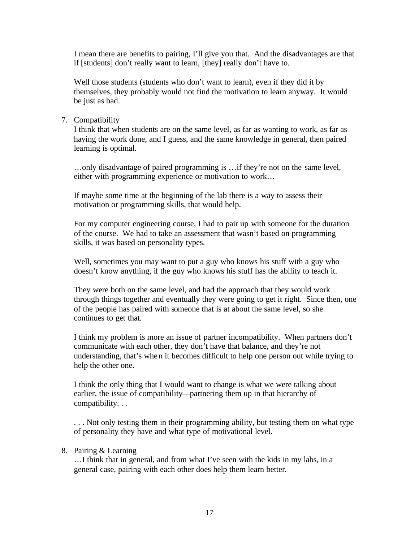I mean there are benefits to pairing, I'll give you that. And the disadvantages are that if [students] don't really want to learn, [they] really don't have to.

Well those students (students who don't want to learn), even if they did it by themselves, they probably would not find the motivation to learn anyway. It would be just as bad.

# 7. Compatibility

I think that when students are on the same level, as far as wanting to work, as far as having the work done, and I guess, and the same knowledge in general, then paired learning is optimal.

…only disadvantage of paired programming is …if they're not on the same level, either with programming experience or motivation to work…

If maybe some time at the beginning of the lab there is a way to assess their motivation or programming skills, that would help.

For my computer engineering course, I had to pair up with someone for the duration of the course. We had to take an assessment that wasn't based on programming skills, it was based on personality types.

Well, sometimes you may want to put a guy who knows his stuff with a guy who doesn't know anything, if the guy who knows his stuff has the ability to teach it.

They were both on the same level, and had the approach that they would work through things together and eventually they were going to get it right. Since then, one of the people has paired with someone that is at about the same level, so she continues to get that.

I think my problem is more an issue of partner incompatibility. When partners don't communicate with each other, they don't have that balance, and they're not understanding, that's when it becomes difficult to help one person out while trying to help the other one.

I think the only thing that I would want to change is what we were talking about earlier, the issue of compatibility—partnering them up in that hierarchy of compatibility. . .

. . . Not only testing them in their programming ability, but testing them on what type of personality they have and what type of motivational level.

## 8. Pairing & Learning

…I think that in general, and from what I've seen with the kids in my labs, in a general case, pairing with each other does help them learn better.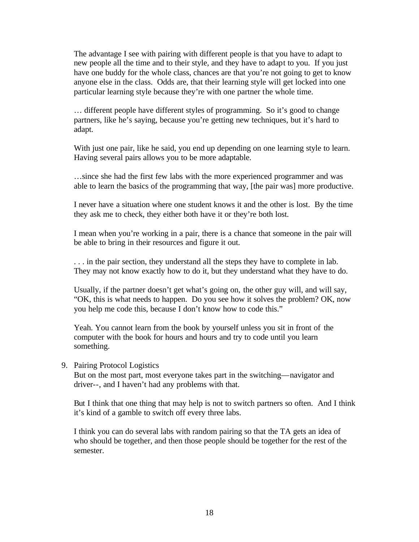The advantage I see with pairing with different people is that you have to adapt to new people all the time and to their style, and they have to adapt to you. If you just have one buddy for the whole class, chances are that you're not going to get to know anyone else in the class. Odds are, that their learning style will get locked into one particular learning style because they're with one partner the whole time.

… different people have different styles of programming. So it's good to change partners, like he's saying, because you're getting new techniques, but it's hard to adapt.

With just one pair, like he said, you end up depending on one learning style to learn. Having several pairs allows you to be more adaptable.

…since she had the first few labs with the more experienced programmer and was able to learn the basics of the programming that way, [the pair was] more productive.

I never have a situation where one student knows it and the other is lost. By the time they ask me to check, they either both have it or they're both lost.

I mean when you're working in a pair, there is a chance that someone in the pair will be able to bring in their resources and figure it out.

. . . in the pair section, they understand all the steps they have to complete in lab. They may not know exactly how to do it, but they understand what they have to do.

Usually, if the partner doesn't get what's going on, the other guy will, and will say, "OK, this is what needs to happen. Do you see how it solves the problem? OK, now you help me code this, because I don't know how to code this."

Yeah. You cannot learn from the book by yourself unless you sit in front of the computer with the book for hours and hours and try to code until you learn something.

9. Pairing Protocol Logistics

But on the most part, most everyone takes part in the switching—navigator and driver--, and I haven't had any problems with that.

But I think that one thing that may help is not to switch partners so often. And I think it's kind of a gamble to switch off every three labs.

I think you can do several labs with random pairing so that the TA gets an idea of who should be together, and then those people should be together for the rest of the semester.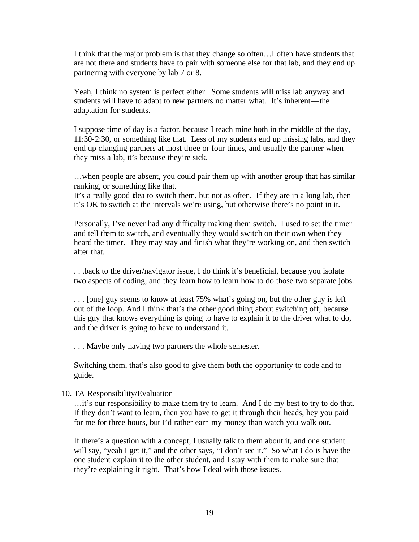I think that the major problem is that they change so often…I often have students that are not there and students have to pair with someone else for that lab, and they end up partnering with everyone by lab 7 or 8.

Yeah, I think no system is perfect either. Some students will miss lab anyway and students will have to adapt to new partners no matter what. It's inherent—the adaptation for students.

I suppose time of day is a factor, because I teach mine both in the middle of the day, 11:30-2:30, or something like that. Less of my students end up missing labs, and they end up changing partners at most three or four times, and usually the partner when they miss a lab, it's because they're sick.

…when people are absent, you could pair them up with another group that has similar ranking, or something like that.

It's a really good idea to switch them, but not as often. If they are in a long lab, then it's OK to switch at the intervals we're using, but otherwise there's no point in it.

Personally, I've never had any difficulty making them switch. I used to set the timer and tell them to switch, and eventually they would switch on their own when they heard the timer. They may stay and finish what they're working on, and then switch after that.

. . .back to the driver/navigator issue, I do think it's beneficial, because you isolate two aspects of coding, and they learn how to learn how to do those two separate jobs.

. . . [one] guy seems to know at least 75% what's going on, but the other guy is left out of the loop. And I think that's the other good thing about switching off, because this guy that knows everything is going to have to explain it to the driver what to do, and the driver is going to have to understand it.

. . . Maybe only having two partners the whole semester.

Switching them, that's also good to give them both the opportunity to code and to guide.

10. TA Responsibility/Evaluation

…it's our responsibility to make them try to learn. And I do my best to try to do that. If they don't want to learn, then you have to get it through their heads, hey you paid for me for three hours, but I'd rather earn my money than watch you walk out.

If there's a question with a concept, I usually talk to them about it, and one student will say, "yeah I get it," and the other says, "I don't see it." So what I do is have the one student explain it to the other student, and I stay with them to make sure that they're explaining it right. That's how I deal with those issues.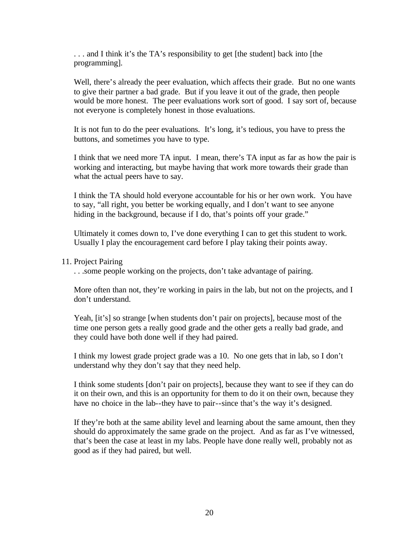. . . and I think it's the TA's responsibility to get [the student] back into [the programming].

Well, there's already the peer evaluation, which affects their grade. But no one wants to give their partner a bad grade. But if you leave it out of the grade, then people would be more honest. The peer evaluations work sort of good. I say sort of, because not everyone is completely honest in those evaluations.

It is not fun to do the peer evaluations. It's long, it's tedious, you have to press the buttons, and sometimes you have to type.

I think that we need more TA input. I mean, there's TA input as far as how the pair is working and interacting, but maybe having that work more towards their grade than what the actual peers have to say.

I think the TA should hold everyone accountable for his or her own work. You have to say, "all right, you better be working equally, and I don't want to see anyone hiding in the background, because if I do, that's points off your grade."

Ultimately it comes down to, I've done everything I can to get this student to work. Usually I play the encouragement card before I play taking their points away.

# 11. Project Pairing

. . .some people working on the projects, don't take advantage of pairing.

More often than not, they're working in pairs in the lab, but not on the projects, and I don't understand.

Yeah, [it's] so strange [when students don't pair on projects], because most of the time one person gets a really good grade and the other gets a really bad grade, and they could have both done well if they had paired.

I think my lowest grade project grade was a 10. No one gets that in lab, so I don't understand why they don't say that they need help.

I think some students [don't pair on projects], because they want to see if they can do it on their own, and this is an opportunity for them to do it on their own, because they have no choice in the lab--they have to pair--since that's the way it's designed.

If they're both at the same ability level and learning about the same amount, then they should do approximately the same grade on the project. And as far as I've witnessed, that's been the case at least in my labs. People have done really well, probably not as good as if they had paired, but well.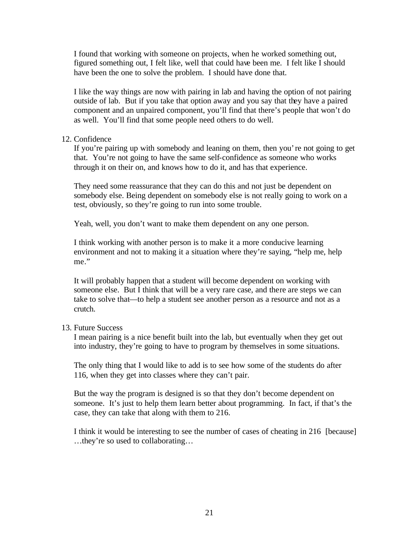I found that working with someone on projects, when he worked something out, figured something out, I felt like, well that could have been me. I felt like I should have been the one to solve the problem. I should have done that.

I like the way things are now with pairing in lab and having the option of not pairing outside of lab. But if you take that option away and you say that they have a paired component and an unpaired component, you'll find that there's people that won't do as well. You'll find that some people need others to do well.

#### 12. Confidence

If you're pairing up with somebody and leaning on them, then you're not going to get that. You're not going to have the same self-confidence as someone who works through it on their on, and knows how to do it, and has that experience.

They need some reassurance that they can do this and not just be dependent on somebody else. Being dependent on somebody else is not really going to work on a test, obviously, so they're going to run into some trouble.

Yeah, well, you don't want to make them dependent on any one person.

I think working with another person is to make it a more conducive learning environment and not to making it a situation where they're saying, "help me, help me."

It will probably happen that a student will become dependent on working with someone else. But I think that will be a very rare case, and there are steps we can take to solve that—to help a student see another person as a resource and not as a crutch.

## 13. Future Success

I mean pairing is a nice benefit built into the lab, but eventually when they get out into industry, they're going to have to program by themselves in some situations.

The only thing that I would like to add is to see how some of the students do after 116, when they get into classes where they can't pair.

But the way the program is designed is so that they don't become dependent on someone. It's just to help them learn better about programming. In fact, if that's the case, they can take that along with them to 216.

I think it would be interesting to see the number of cases of cheating in 216 [because] …they're so used to collaborating…